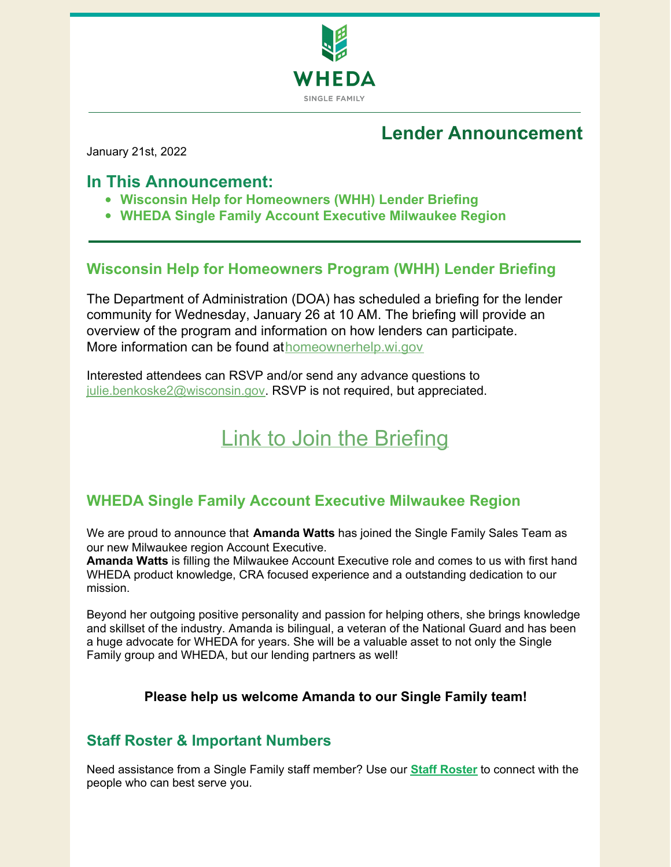

# **Lender Announcement**

January 21st, 2022

## **In This Announcement:**

- **Wisconsin Help for Homeowners (WHH) Lender Briefing**
- **WHEDA Single Family Account Executive Milwaukee Region**

## **Wisconsin Help for Homeowners Program (WHH) Lender Briefing**

The Department of Administration (DOA) has scheduled a briefing for the lender community for Wednesday, January 26 at 10 AM. The briefing will provide an overview of the program and information on how lenders can participate. More information can be found at[homeownerhelp.wi.gov](https://doa.wi.gov/Pages/LocalGovtsGrants/Homeowner-Assistance.aspx)

Interested attendees can RSVP and/or send any advance questions to [julie.benkoske2@wisconsin.gov](mailto:julie.benkoske2@wisconsin.gov). RSVP is not required, but appreciated.

# Link to Join the [Briefing](https://bit.ly/WHHlenderbriefing)

## **WHEDA Single Family Account Executive Milwaukee Region**

We are proud to announce that **Amanda Watts** has joined the Single Family Sales Team as our new Milwaukee region Account Executive.

**Amanda Watts** is filling the Milwaukee Account Executive role and comes to us with first hand WHEDA product knowledge, CRA focused experience and a outstanding dedication to our mission.

Beyond her outgoing positive personality and passion for helping others, she brings knowledge and skillset of the industry. Amanda is bilingual, a veteran of the National Guard and has been a huge advocate for WHEDA for years. She will be a valuable asset to not only the Single Family group and WHEDA, but our lending partners as well!

### **Please help us welcome Amanda to our Single Family team!**

### **Staff Roster & Important Numbers**

Need assistance from a Single Family staff member? Use our **Staff [Roster](https://www.wheda.com/globalassets/documents/mortgage-lending/single-family-staff-roster.pdf)** to connect with the people who can best serve you.